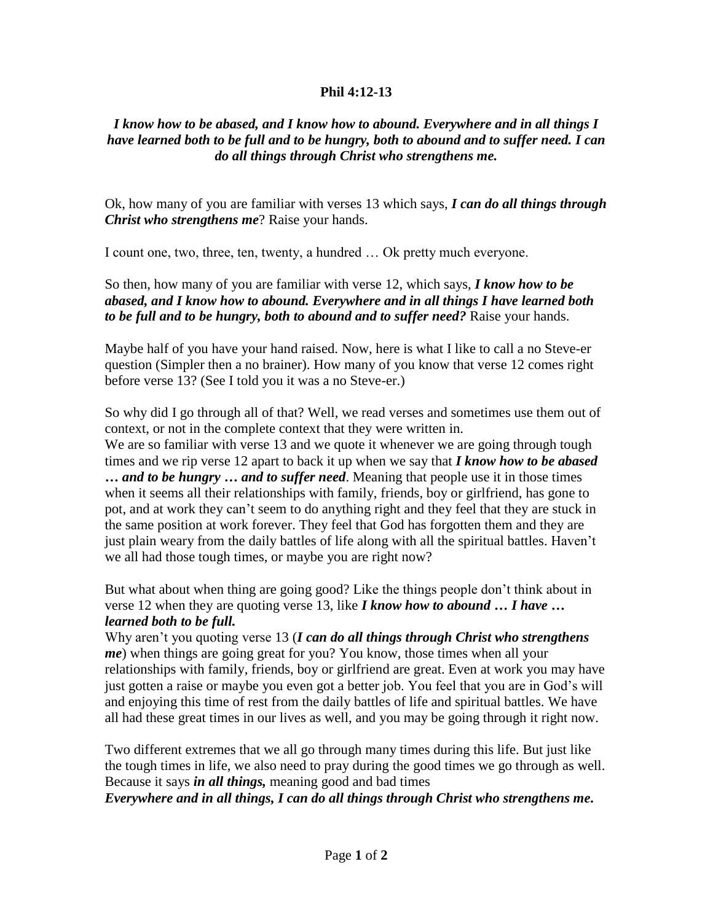## **Phil 4:12-13**

## *I know how to be abased, and I know how to abound. Everywhere and in all things I have learned both to be full and to be hungry, both to abound and to suffer need. I can do all things through Christ who strengthens me.*

Ok, how many of you are familiar with verses 13 which says, *I can do all things through Christ who strengthens me*? Raise your hands.

I count one, two, three, ten, twenty, a hundred … Ok pretty much everyone.

So then, how many of you are familiar with verse 12, which says, *I know how to be abased, and I know how to abound. Everywhere and in all things I have learned both to be full and to be hungry, both to abound and to suffer need?* Raise your hands.

Maybe half of you have your hand raised. Now, here is what I like to call a no Steve-er question (Simpler then a no brainer). How many of you know that verse 12 comes right before verse 13? (See I told you it was a no Steve-er.)

So why did I go through all of that? Well, we read verses and sometimes use them out of context, or not in the complete context that they were written in.

We are so familiar with verse 13 and we quote it whenever we are going through tough times and we rip verse 12 apart to back it up when we say that *I know how to be abased … and to be hungry … and to suffer need*. Meaning that people use it in those times when it seems all their relationships with family, friends, boy or girlfriend, has gone to pot, and at work they can't seem to do anything right and they feel that they are stuck in the same position at work forever. They feel that God has forgotten them and they are just plain weary from the daily battles of life along with all the spiritual battles. Haven't we all had those tough times, or maybe you are right now?

But what about when thing are going good? Like the things people don't think about in verse 12 when they are quoting verse 13, like *I know how to abound … I have … learned both to be full.*

Why aren't you quoting verse 13 (*I can do all things through Christ who strengthens me*) when things are going great for you? You know, those times when all your relationships with family, friends, boy or girlfriend are great. Even at work you may have just gotten a raise or maybe you even got a better job. You feel that you are in God's will and enjoying this time of rest from the daily battles of life and spiritual battles. We have all had these great times in our lives as well, and you may be going through it right now.

Two different extremes that we all go through many times during this life. But just like the tough times in life, we also need to pray during the good times we go through as well. Because it says *in all things,* meaning good and bad times

*Everywhere and in all things, I can do all things through Christ who strengthens me.*